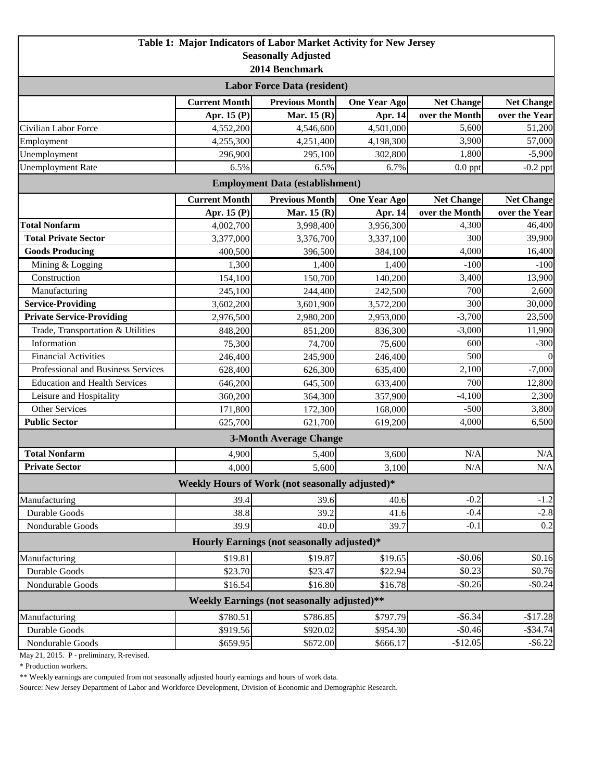|                                             |                      | Table 1: Major Indicators of Labor Market Activity for New Jersey |                     |                   |                   |  |  |  |
|---------------------------------------------|----------------------|-------------------------------------------------------------------|---------------------|-------------------|-------------------|--|--|--|
|                                             |                      | <b>Seasonally Adjusted</b>                                        |                     |                   |                   |  |  |  |
| 2014 Benchmark                              |                      |                                                                   |                     |                   |                   |  |  |  |
| <b>Labor Force Data (resident)</b>          |                      |                                                                   |                     |                   |                   |  |  |  |
|                                             | <b>Current Month</b> | <b>Previous Month</b>                                             | <b>One Year Ago</b> | <b>Net Change</b> | <b>Net Change</b> |  |  |  |
|                                             | Apr. 15 (P)          | Mar. 15 (R)                                                       | Apr. 14             | over the Month    | over the Year     |  |  |  |
| Civilian Labor Force                        | 4,552,200            | 4,546,600                                                         | 4,501,000           | 5,600             | 51,200            |  |  |  |
| Employment                                  | 4,255,300            | 4,251,400                                                         | 4,198,300           | 3,900             | 57,000            |  |  |  |
| Unemployment                                | 296,900              | 295,100                                                           | 302,800             | 1,800             | $-5,900$          |  |  |  |
| <b>Unemployment Rate</b>                    | 6.5%                 | 6.5%                                                              | 6.7%                | $0.0$ ppt         | $-0.2$ ppt        |  |  |  |
|                                             |                      | <b>Employment Data (establishment)</b>                            |                     |                   |                   |  |  |  |
|                                             | <b>Current Month</b> | <b>Previous Month</b>                                             | <b>One Year Ago</b> | <b>Net Change</b> | <b>Net Change</b> |  |  |  |
|                                             | Apr. 15 (P)          | Mar. 15 (R)                                                       | Apr. 14             | over the Month    | over the Year     |  |  |  |
| <b>Total Nonfarm</b>                        | 4,002,700            | 3,998,400                                                         | 3,956,300           | 4,300             | 46,400            |  |  |  |
| <b>Total Private Sector</b>                 | 3,377,000            | 3,376,700                                                         | 3,337,100           | 300               | 39,900            |  |  |  |
| <b>Goods Producing</b>                      | 400,500              | 396,500                                                           | 384,100             | 4,000             | 16,400            |  |  |  |
| Mining & Logging                            | 1,300                | 1,400                                                             | 1,400               | $-100$            | $-100$            |  |  |  |
| Construction                                | 154,100              | 150,700                                                           | 140,200             | 3,400             | 13,900            |  |  |  |
| Manufacturing                               | 245,100              | 244,400                                                           | 242,500             | 700               | 2,600             |  |  |  |
| <b>Service-Providing</b>                    | 3,602,200            | 3,601,900                                                         | 3,572,200           | 300               | 30,000            |  |  |  |
| <b>Private Service-Providing</b>            | 2,976,500            | 2,980,200                                                         | 2,953,000           | $-3,700$          | 23,500            |  |  |  |
| Trade, Transportation & Utilities           | 848,200              | 851,200                                                           | 836,300             | $-3,000$          | 11,900            |  |  |  |
| Information                                 | 75,300               | 74,700                                                            | 75,600              | 600               | $-300$            |  |  |  |
| <b>Financial Activities</b>                 | 246,400              | 245,900                                                           | 246,400             | 500               | $\Omega$          |  |  |  |
| Professional and Business Services          | 628,400              | 626,300                                                           | 635,400             | 2,100             | $-7,000$          |  |  |  |
| <b>Education and Health Services</b>        | 646,200              | 645,500                                                           | 633,400             | 700               | 12,800            |  |  |  |
| Leisure and Hospitality                     | 360,200              | 364,300                                                           | 357,900             | $-4,100$          | 2,300             |  |  |  |
| <b>Other Services</b>                       | 171,800              | 172,300                                                           | 168,000             | $-500$            | 3,800             |  |  |  |
| <b>Public Sector</b>                        | 625,700              | 621,700                                                           | 619,200             | 4,000             | 6,500             |  |  |  |
|                                             |                      | <b>3-Month Average Change</b>                                     |                     |                   |                   |  |  |  |
| <b>Total Nonfarm</b>                        | 4,900                | 5,400                                                             | 3,600               | N/A               | N/A               |  |  |  |
| <b>Private Sector</b>                       | 4,000                | 5,600                                                             | 3,100               | N/A               | N/A               |  |  |  |
|                                             |                      | Weekly Hours of Work (not seasonally adjusted)*                   |                     |                   |                   |  |  |  |
| Manufacturing                               | 39.4                 | 39.6                                                              | 40.6                | $-0.2$            | $-1.2$            |  |  |  |
| Durable Goods                               | 38.8                 | 39.2                                                              | 41.6                | $-0.4$            | $-2.8$            |  |  |  |
| Nondurable Goods                            | 39.9                 | 40.0                                                              | 39.7                | $-0.1$            | 0.2               |  |  |  |
| Hourly Earnings (not seasonally adjusted)*  |                      |                                                                   |                     |                   |                   |  |  |  |
| Manufacturing                               | \$19.81              | \$19.87                                                           | \$19.65             | $-$0.06$          | \$0.16            |  |  |  |
| Durable Goods                               | \$23.70              | \$23.47                                                           | \$22.94             | \$0.23            | \$0.76            |  |  |  |
| Nondurable Goods                            | \$16.54              | \$16.80                                                           | \$16.78             | $-$0.26$          | $-$0.24$          |  |  |  |
| Weekly Earnings (not seasonally adjusted)** |                      |                                                                   |                     |                   |                   |  |  |  |
| Manufacturing                               | \$780.51             | \$786.85                                                          | \$797.79            | $-$ \$6.34        | $-$17.28$         |  |  |  |
| Durable Goods                               | \$919.56             | \$920.02                                                          | \$954.30            | $-$0.46$          | $-$ \$34.74       |  |  |  |
| Nondurable Goods                            | \$659.95             | \$672.00                                                          | \$666.17            | $-$12.05$         | $-$ \$6.22        |  |  |  |

May 21, 2015. P - preliminary, R-revised.

\* Production workers.

\*\* Weekly earnings are computed from not seasonally adjusted hourly earnings and hours of work data.

Source: New Jersey Department of Labor and Workforce Development, Division of Economic and Demographic Research.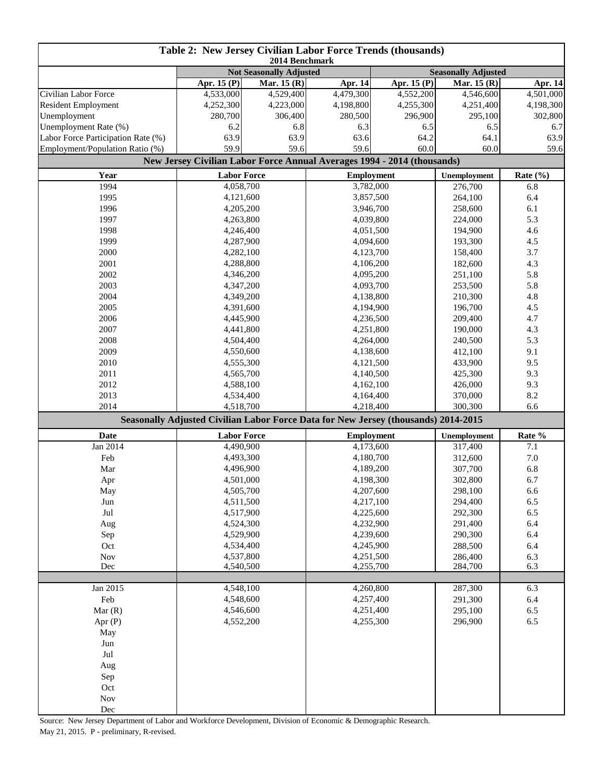| Table 2: New Jersey Civilian Labor Force Trends (thousands)<br>2014 Benchmark |                                |             |                                                                                           |             |                            |              |  |
|-------------------------------------------------------------------------------|--------------------------------|-------------|-------------------------------------------------------------------------------------------|-------------|----------------------------|--------------|--|
|                                                                               | <b>Not Seasonally Adjusted</b> |             |                                                                                           |             | <b>Seasonally Adjusted</b> |              |  |
|                                                                               | Apr. 15 (P)                    | Mar. 15 (R) | Apr. 14                                                                                   | Apr. 15 (P) | Mar. 15 (R)                | Apr. 14      |  |
| Civilian Labor Force                                                          | 4,533,000                      | 4,529,400   | 4,479,300                                                                                 | 4,552,200   | 4,546,600                  | 4,501,000    |  |
| <b>Resident Employment</b>                                                    | 4,252,300                      | 4,223,000   | 4,198,800                                                                                 | 4,255,300   | 4,251,400                  | 4,198,300    |  |
| Unemployment                                                                  | 280,700                        | 306,400     | 280,500                                                                                   | 296,900     | 295,100                    | 302,800      |  |
| Unemployment Rate (%)                                                         | 6.2                            | 6.8         | 6.3                                                                                       | 6.5         | 6.5                        | 6.7          |  |
| Labor Force Participation Rate (%)                                            | 63.9                           | 63.9        | 63.6                                                                                      | 64.2        | 64.1                       | 63.9         |  |
| Employment/Population Ratio (%)                                               | 59.9                           | 59.6        | 59.6                                                                                      | 60.0        | 60.0                       | 59.6         |  |
|                                                                               |                                |             | New Jersey Civilian Labor Force Annual Averages 1994 - 2014 (thousands)                   |             |                            |              |  |
| Year                                                                          | <b>Labor Force</b>             |             | <b>Employment</b>                                                                         |             | Unemployment               | Rate $(\% )$ |  |
| 1994                                                                          | 4,058,700                      |             | 3,782,000                                                                                 |             | 276,700                    | 6.8          |  |
| 1995                                                                          | 4,121,600                      |             | 3,857,500                                                                                 |             | 264,100                    | 6.4          |  |
| 1996                                                                          | 4,205,200                      |             | 3,946,700                                                                                 |             | 258,600                    | 6.1          |  |
| 1997                                                                          | 4,263,800                      |             | 4,039,800                                                                                 |             | 224,000                    | 5.3          |  |
| 1998                                                                          | 4,246,400                      |             |                                                                                           | 4,051,500   |                            | 4.6          |  |
| 1999                                                                          | 4,287,900                      |             |                                                                                           | 4,094,600   |                            | 4.5          |  |
| 2000                                                                          | 4,282,100                      |             | 4,123,700                                                                                 |             | 158,400                    | 3.7          |  |
| 2001                                                                          | 4,288,800                      |             | 4,106,200                                                                                 |             | 182,600                    | 4.3          |  |
| 2002                                                                          | 4,346,200                      |             | 4,095,200                                                                                 |             | 251,100                    | 5.8          |  |
| 2003                                                                          | 4,347,200                      |             | 4,093,700                                                                                 |             | 253,500                    | 5.8          |  |
| 2004                                                                          | 4,349,200                      |             | 4,138,800                                                                                 |             | 210,300                    | 4.8          |  |
| 2005                                                                          | 4,391,600                      |             | 4,194,900                                                                                 |             | 196,700                    | 4.5          |  |
| 2006                                                                          | 4,445,900                      |             | 4,236,500                                                                                 |             | 209,400                    | 4.7          |  |
| 2007                                                                          | 4,441,800                      |             |                                                                                           | 4,251,800   |                            | 4.3          |  |
| 2008                                                                          | 4,504,400                      |             |                                                                                           | 4,264,000   |                            | 5.3          |  |
| 2009                                                                          | 4,550,600                      |             | 4,138,600                                                                                 |             | 240,500<br>412,100         | 9.1          |  |
| 2010                                                                          | 4,555,300                      |             | 4,121,500                                                                                 |             | 433,900                    | 9.5          |  |
| 2011                                                                          | 4,565,700                      |             | 4,140,500                                                                                 |             | 425,300                    | 9.3          |  |
| 2012                                                                          | 4,588,100                      |             | 4,162,100                                                                                 |             | 426,000                    | 9.3          |  |
| 2013                                                                          | 4,534,400                      |             | 4,164,400                                                                                 |             | 370,000                    | 8.2          |  |
| 2014                                                                          | 4,518,700                      |             | 4,218,400                                                                                 |             | 300,300                    | 6.6          |  |
|                                                                               |                                |             | <b>Seasonally Adjusted Civilian Labor Force Data for New Jersey (thousands) 2014-2015</b> |             |                            |              |  |
| <b>Date</b>                                                                   | <b>Labor Force</b>             |             | <b>Employment</b>                                                                         |             | Unemployment               | Rate %       |  |
| Jan 2014                                                                      | 4,490,900                      |             | 4,173,600                                                                                 |             | 317,400                    | 7.1          |  |
| Feb                                                                           | 4,493,300                      |             | 4,180,700                                                                                 |             | 312,600                    | $7.0\,$      |  |
| Mar                                                                           | 4,496,900                      |             | 4,189,200                                                                                 |             | 307,700                    | 6.8          |  |
| Apr                                                                           | 4,501,000                      |             | 4,198,300                                                                                 |             | 302,800                    | 6.7          |  |
| May                                                                           | 4,505,700                      |             | 4,207,600                                                                                 |             | 298,100                    | 6.6          |  |
| Jun                                                                           | 4,511,500                      |             | 4,217,100                                                                                 |             | 294,400                    | 6.5          |  |
| Jul                                                                           | 4,517,900                      |             | 4,225,600                                                                                 |             | 292,300                    | 6.5          |  |
| Aug                                                                           | 4,524,300                      |             | 4,232,900                                                                                 |             | 291,400                    | 6.4          |  |
| Sep                                                                           | 4,529,900                      |             | 4,239,600                                                                                 |             | 290,300                    | 6.4          |  |
| Oct                                                                           | 4,534,400                      |             | 4,245,900                                                                                 |             | 288,500                    | 6.4          |  |
| Nov                                                                           | 4,537,800                      |             | 4,251,500                                                                                 |             | 286,400                    | 6.3          |  |
| Dec                                                                           | 4,540,500                      |             | 4,255,700                                                                                 |             | 284,700                    | 6.3          |  |
|                                                                               |                                |             |                                                                                           |             |                            |              |  |
| Jan 2015                                                                      | 4,548,100                      |             | 4,260,800                                                                                 |             | 287,300                    | 6.3          |  |
| Feb                                                                           | 4,548,600                      |             | 4,257,400                                                                                 |             | 291,300                    | 6.4          |  |
| Mar(R)                                                                        | 4,546,600                      |             | 4,251,400                                                                                 |             | 295,100                    | 6.5          |  |
| Apr $(P)$                                                                     | 4,552,200                      |             | 4,255,300                                                                                 |             | 296,900                    | 6.5          |  |
| May                                                                           |                                |             |                                                                                           |             |                            |              |  |
| Jun                                                                           |                                |             |                                                                                           |             |                            |              |  |
| Jul                                                                           |                                |             |                                                                                           |             |                            |              |  |
| Aug                                                                           |                                |             |                                                                                           |             |                            |              |  |
| Sep                                                                           |                                |             |                                                                                           |             |                            |              |  |
| Oct                                                                           |                                |             |                                                                                           |             |                            |              |  |
| Nov                                                                           |                                |             |                                                                                           |             |                            |              |  |
| Dec                                                                           |                                |             |                                                                                           |             |                            |              |  |

Source: New Jersey Department of Labor and Workforce Development, Division of Economic & Demographic Research.

May 21, 2015. P - preliminary, R-revised.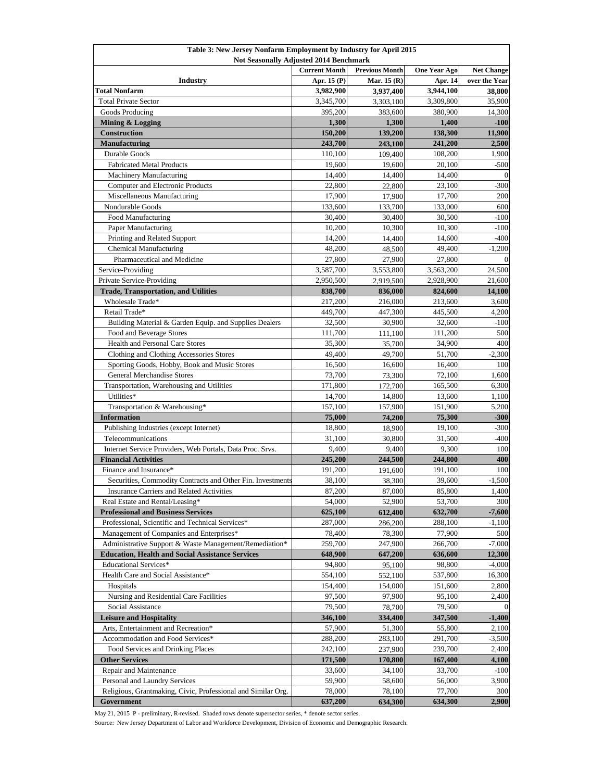| Table 3: New Jersey Nonfarm Employment by Industry for April 2015                       |                      |                                      |                                |                    |  |  |
|-----------------------------------------------------------------------------------------|----------------------|--------------------------------------|--------------------------------|--------------------|--|--|
| <b>Not Seasonally Adjusted 2014 Benchmark</b>                                           | <b>Current Month</b> | <b>Net Change</b>                    |                                |                    |  |  |
| <b>Industry</b>                                                                         | Apr. 15 (P)          | <b>Previous Month</b><br>Mar. 15 (R) | <b>One Year Ago</b><br>Apr. 14 | over the Year      |  |  |
| <b>Total Nonfarm</b>                                                                    | 3,982,900            | 3,937,400                            | 3,944,100                      | 38,800             |  |  |
| <b>Total Private Sector</b>                                                             | 3,345,700            | 3,303,100                            | 3,309,800                      | 35,900             |  |  |
| Goods Producing                                                                         | 395,200              | 383,600                              | 380,900                        | 14,300             |  |  |
| Mining & Logging                                                                        | 1,300                | 1,300                                | 1,400                          | $-100$             |  |  |
| <b>Construction</b>                                                                     | 150,200              | 139,200                              | 138,300                        | 11,900             |  |  |
| <b>Manufacturing</b>                                                                    | 243,700              | 243,100                              | 241,200                        | 2,500              |  |  |
| Durable Goods                                                                           | 110,100              | 109,400                              | 108,200                        | 1,900              |  |  |
| <b>Fabricated Metal Products</b>                                                        | 19,600               | 19,600                               | 20,100                         | $-500$             |  |  |
| <b>Machinery Manufacturing</b>                                                          | 14,400               | 14,400                               | 14,400                         | $\Omega$           |  |  |
| <b>Computer and Electronic Products</b>                                                 | 22,800               | 22,800                               | 23,100                         | $-300$             |  |  |
| Miscellaneous Manufacturing                                                             | 17,900               | 17,900                               | 17,700                         | 200                |  |  |
| <b>Nondurable Goods</b>                                                                 | 133,600              | 133,700                              | 133,000                        | 600                |  |  |
| Food Manufacturing                                                                      | 30,400               | 30,400                               | 30,500                         | $-100$             |  |  |
| Paper Manufacturing                                                                     | 10,200               | 10,300                               | 10,300                         | $-100$             |  |  |
| Printing and Related Support                                                            | 14,200               | 14,400                               | 14,600                         | $-400$             |  |  |
| <b>Chemical Manufacturing</b>                                                           | 48,200               | 48,500                               | 49,400                         | $-1,200$           |  |  |
| Pharmaceutical and Medicine                                                             | 27,800               | 27,900                               | 27,800                         |                    |  |  |
| Service-Providing                                                                       | 3,587,700            | 3,553,800                            | 3,563,200                      | 24,500             |  |  |
| <b>Private Service-Providing</b>                                                        | 2,950,500            | 2,919,500                            | 2,928,900                      | 21,600             |  |  |
| <b>Trade, Transportation, and Utilities</b>                                             | 838,700              | 836,000                              | 824,600                        | 14,100             |  |  |
| Wholesale Trade*                                                                        | 217,200              | 216,000                              | 213,600                        | 3,600              |  |  |
| Retail Trade*                                                                           | 449,700              | 447,300                              | 445,500                        | 4,200              |  |  |
| Building Material & Garden Equip. and Supplies Dealers                                  | 32,500               | 30,900                               | 32,600                         | $-100$             |  |  |
| Food and Beverage Stores                                                                | 111,700              | 111,100                              | 111,200                        | 500                |  |  |
| <b>Health and Personal Care Stores</b>                                                  | 35,300               | 35,700                               | 34,900                         | 400                |  |  |
| <b>Clothing and Clothing Accessories Stores</b>                                         | 49,400               | 49,700                               | 51,700                         | $-2,300$           |  |  |
| Sporting Goods, Hobby, Book and Music Stores                                            | 16,500               | 16,600                               | 16,400                         | 100                |  |  |
| <b>General Merchandise Stores</b>                                                       | 73,700               | 73,300                               | 72,100                         | 1,600              |  |  |
| Transportation, Warehousing and Utilities                                               | 171,800              | 172,700                              | 165,500                        | 6,300              |  |  |
| Utilities*                                                                              | 14,700               | 14,800                               | 13,600                         | 1,100              |  |  |
| Transportation & Warehousing*                                                           | 157,100              | 157,900                              | 151,900                        | 5,200              |  |  |
| <b>Information</b>                                                                      | 75,000               | 74,200                               | 75,300                         | $-300$             |  |  |
| Publishing Industries (except Internet)                                                 | 18,800               | 18,900                               | 19,100                         | $-300$             |  |  |
| Telecommunications                                                                      | 31,100               | 30,800                               | 31,500                         | $-400$             |  |  |
| Internet Service Providers, Web Portals, Data Proc. Srvs.                               | 9,400                | 9,400                                | 9,300                          | 100                |  |  |
| <b>Financial Activities</b>                                                             | 245,200              | 244,500                              | 244,800                        | 400                |  |  |
| Finance and Insurance*                                                                  | 191,200              | 191,600                              | 191,100                        | 100                |  |  |
| Securities, Commodity Contracts and Other Fin. Investments                              | 38,100               | 38,300                               | 39,600                         | $-1,500$           |  |  |
| <b>Insurance Carriers and Related Activities</b>                                        | 87,200               | 87,000                               | 85,800                         | 1,400              |  |  |
| Real Estate and Rental/Leasing*                                                         | 54,000               | 52,900                               | 53,700                         | 300                |  |  |
| <b>Professional and Business Services</b>                                               | 625,100              | 612,400                              | 632,700                        | $-7,600$           |  |  |
| Professional, Scientific and Technical Services*                                        | 287,000              | 286,200                              | 288,100                        | $-1,100$           |  |  |
| Management of Companies and Enterprises*                                                | 78,400               | 78,300                               | 77,900                         | 500                |  |  |
| Administrative Support & Waste Management/Remediation*                                  | 259,700              | 247,900                              | 266,700                        | $-7,000$           |  |  |
| <b>Education, Health and Social Assistance Services</b><br><b>Educational Services*</b> | 648,900<br>94,800    | 647,200<br>95,100                    | 636,600<br>98,800              | 12,300<br>$-4,000$ |  |  |
| Health Care and Social Assistance*                                                      | 554,100              | 552,100                              | 537,800                        | 16,300             |  |  |
| Hospitals                                                                               | 154,400              | 154,000                              | 151,600                        | 2,800              |  |  |
| Nursing and Residential Care Facilities                                                 | 97,500               | 97,900                               | 95,100                         | 2,400              |  |  |
| Social Assistance                                                                       | 79,500               | 78,700                               | 79,500                         | $\overline{0}$     |  |  |
| <b>Leisure and Hospitality</b>                                                          | 346,100              | 334,400                              | 347,500                        | $-1,400$           |  |  |
| Arts, Entertainment and Recreation*                                                     | 57,900               | 51,300                               | 55,800                         | 2,100              |  |  |
| Accommodation and Food Services*                                                        | 288,200              | 283,100                              | 291,700                        | $-3,500$           |  |  |
| Food Services and Drinking Places                                                       | 242,100              | 237,900                              | 239,700                        | 2,400              |  |  |
| <b>Other Services</b>                                                                   | 171,500              | 170,800                              | 167,400                        | 4,100              |  |  |
| Repair and Maintenance                                                                  | 33,600               | 34,100                               | 33,700                         | $-100$             |  |  |
| Personal and Laundry Services                                                           | 59,900               | 58,600                               | 56,000                         | 3,900              |  |  |
| Religious, Grantmaking, Civic, Professional and Similar Org.                            | 78,000               | 78,100                               | 77,700                         | 300                |  |  |
| Government                                                                              | 637,200              | 634,300                              | 634,300                        | 2,900              |  |  |

May 21, 2015 P - preliminary, R-revised. Shaded rows denote supersector series, \* denote sector series.

Source: New Jersey Department of Labor and Workforce Development, Division of Economic and Demographic Research.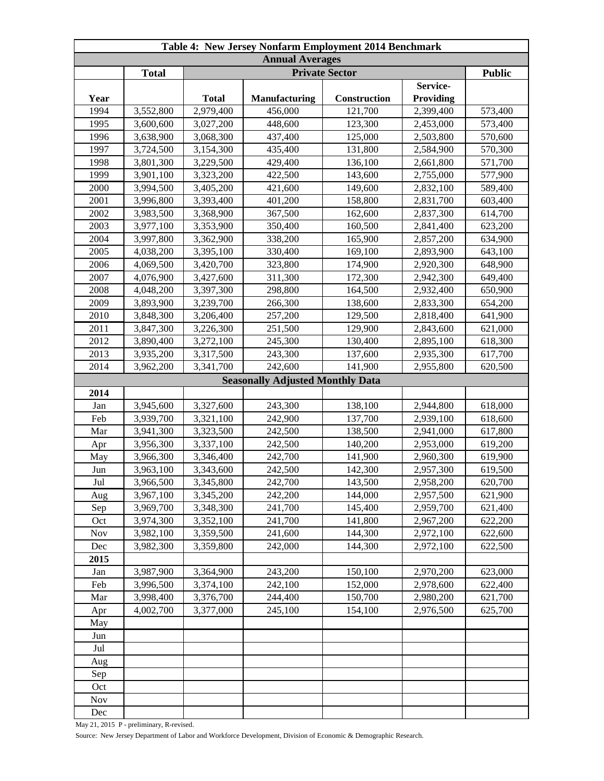| Table 4: New Jersey Nonfarm Employment 2014 Benchmark |              |              |                                         |              |                              |         |  |
|-------------------------------------------------------|--------------|--------------|-----------------------------------------|--------------|------------------------------|---------|--|
| <b>Annual Averages</b><br><b>Private Sector</b>       |              |              |                                         |              |                              |         |  |
|                                                       | <b>Total</b> |              | <b>Public</b>                           |              |                              |         |  |
| Year                                                  |              | <b>Total</b> | <b>Manufacturing</b>                    | Construction | Service-<br><b>Providing</b> |         |  |
| 1994                                                  | 3,552,800    | 2,979,400    | 456,000                                 | 121,700      | 2,399,400                    | 573,400 |  |
| 1995                                                  | 3,600,600    | 3,027,200    | 448,600                                 | 123,300      | 2,453,000                    | 573,400 |  |
| 1996                                                  | 3,638,900    | 3,068,300    | 437,400                                 | 125,000      | 2,503,800                    | 570,600 |  |
| 1997                                                  | 3,724,500    | 3,154,300    | 435,400                                 | 131,800      | 2,584,900                    | 570,300 |  |
| 1998                                                  | 3,801,300    | 3,229,500    | 429,400                                 | 136,100      | 2,661,800                    | 571,700 |  |
| 1999                                                  | 3,901,100    | 3,323,200    | 422,500                                 | 143,600      | 2,755,000                    | 577,900 |  |
| 2000                                                  | 3,994,500    | 3,405,200    | 421,600                                 | 149,600      | 2,832,100                    | 589,400 |  |
| 2001                                                  | 3,996,800    | 3,393,400    | 401,200                                 | 158,800      | 2,831,700                    | 603,400 |  |
| 2002                                                  | 3,983,500    | 3,368,900    | 367,500                                 | 162,600      | 2,837,300                    | 614,700 |  |
| 2003                                                  | 3,977,100    | 3,353,900    | 350,400                                 | 160,500      | 2,841,400                    | 623,200 |  |
| 2004                                                  | 3,997,800    | 3,362,900    | 338,200                                 | 165,900      | 2,857,200                    | 634,900 |  |
| 2005                                                  | 4,038,200    | 3,395,100    | 330,400                                 | 169,100      | 2,893,900                    | 643,100 |  |
| 2006                                                  | 4,069,500    | 3,420,700    | 323,800                                 | 174,900      | 2,920,300                    | 648,900 |  |
| 2007                                                  | 4,076,900    | 3,427,600    | 311,300                                 | 172,300      | 2,942,300                    | 649,400 |  |
| 2008                                                  | 4,048,200    | 3,397,300    | 298,800                                 | 164,500      | 2,932,400                    | 650,900 |  |
| 2009                                                  | 3,893,900    | 3,239,700    | 266,300                                 | 138,600      | 2,833,300                    | 654,200 |  |
| 2010                                                  | 3,848,300    | 3,206,400    | 257,200                                 | 129,500      | 2,818,400                    | 641,900 |  |
| 2011                                                  | 3,847,300    | 3,226,300    | 251,500                                 | 129,900      | 2,843,600                    | 621,000 |  |
| 2012                                                  | 3,890,400    | 3,272,100    | 245,300                                 | 130,400      | 2,895,100                    | 618,300 |  |
| 2013                                                  | 3,935,200    | 3,317,500    | 243,300                                 | 137,600      | 2,935,300                    | 617,700 |  |
| 2014                                                  | 3,962,200    | 3,341,700    | 242,600                                 | 141,900      | 2,955,800                    | 620,500 |  |
|                                                       |              |              | <b>Seasonally Adjusted Monthly Data</b> |              |                              |         |  |
| 2014                                                  |              |              |                                         |              |                              |         |  |
| Jan                                                   | 3,945,600    | 3,327,600    | 243,300                                 | 138,100      | 2,944,800                    | 618,000 |  |
| Feb                                                   | 3,939,700    | 3,321,100    | 242,900                                 | 137,700      | 2,939,100                    | 618,600 |  |
| Mar                                                   | 3,941,300    | 3,323,500    | 242,500                                 | 138,500      | 2,941,000                    | 617,800 |  |
| Apr                                                   | 3,956,300    | 3,337,100    | 242,500                                 | 140,200      | 2,953,000                    | 619,200 |  |
| May                                                   | 3,966,300    | 3,346,400    | 242,700                                 | 141,900      | 2,960,300                    | 619,900 |  |
| Jun                                                   | 3,963,100    | 3,343,600    | 242,500                                 | 142,300      | 2,957,300                    | 619,500 |  |
| Jul                                                   | 3,966,500    | 3,345,800    | 242,700                                 | 143,500      | 2,958,200                    | 620,700 |  |
| Aug                                                   | 3,967,100    | 3,345,200    | 242,200                                 | 144,000      | 2,957,500                    | 621,900 |  |
| Sep                                                   | 3,969,700    | 3,348,300    | 241,700                                 | 145,400      | 2,959,700                    | 621,400 |  |
| Oct                                                   | 3,974,300    | 3,352,100    | 241,700                                 | 141,800      | 2,967,200                    | 622,200 |  |
| <b>Nov</b>                                            | 3,982,100    | 3,359,500    | 241,600                                 | 144,300      | 2,972,100                    | 622,600 |  |
| Dec                                                   | 3,982,300    | 3,359,800    | 242,000                                 | 144,300      | 2,972,100                    | 622,500 |  |
| 2015                                                  |              |              |                                         |              |                              |         |  |
| Jan                                                   | 3,987,900    | 3,364,900    | 243,200                                 | 150,100      | 2,970,200                    | 623,000 |  |
| Feb                                                   | 3,996,500    | 3,374,100    | 242,100                                 | 152,000      | 2,978,600                    | 622,400 |  |
| Mar                                                   | 3,998,400    | 3,376,700    | 244,400                                 | 150,700      | 2,980,200                    | 621,700 |  |
| Apr                                                   | 4,002,700    | 3,377,000    | 245,100                                 | 154,100      | 2,976,500                    | 625,700 |  |
| May                                                   |              |              |                                         |              |                              |         |  |
| Jun                                                   |              |              |                                         |              |                              |         |  |
| Jul                                                   |              |              |                                         |              |                              |         |  |
| Aug                                                   |              |              |                                         |              |                              |         |  |
| Sep                                                   |              |              |                                         |              |                              |         |  |
| Oct                                                   |              |              |                                         |              |                              |         |  |
| Nov                                                   |              |              |                                         |              |                              |         |  |
| Dec                                                   |              |              |                                         |              |                              |         |  |
|                                                       |              |              |                                         |              |                              |         |  |

May 21, 2015 P - preliminary, R-revised.

Source: New Jersey Department of Labor and Workforce Development, Division of Economic & Demographic Research.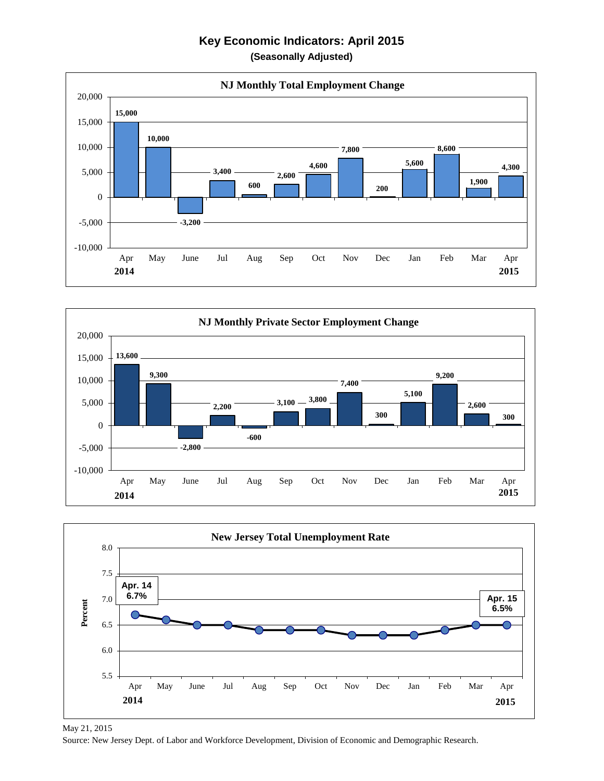## **Key Economic Indicators: April 2015 (Seasonally Adjusted)**







May 21, 2015

Source: New Jersey Dept. of Labor and Workforce Development, Division of Economic and Demographic Research.